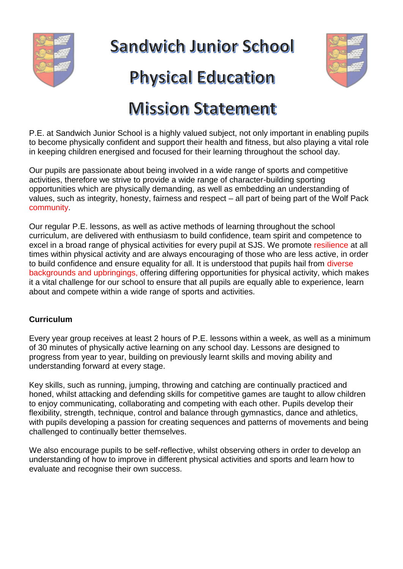

**Sandwich Junior School** 

# **Physical Education**

# **Mission Statement**

P.E. at Sandwich Junior School is a highly valued subject, not only important in enabling pupils to become physically confident and support their health and fitness, but also playing a vital role in keeping children energised and focused for their learning throughout the school day.

Our pupils are passionate about being involved in a wide range of sports and competitive activities, therefore we strive to provide a wide range of character-building sporting opportunities which are physically demanding, as well as embedding an understanding of values, such as integrity, honesty, fairness and respect – all part of being part of the Wolf Pack community.

Our regular P.E. lessons, as well as active methods of learning throughout the school curriculum, are delivered with enthusiasm to build confidence, team spirit and competence to excel in a broad range of physical activities for every pupil at SJS. We promote resilience at all times within physical activity and are always encouraging of those who are less active, in order to build confidence and ensure equality for all. It is understood that pupils hail from diverse backgrounds and upbringings, offering differing opportunities for physical activity, which makes it a vital challenge for our school to ensure that all pupils are equally able to experience, learn about and compete within a wide range of sports and activities.

## **Curriculum**

Every year group receives at least 2 hours of P.E. lessons within a week, as well as a minimum of 30 minutes of physically active learning on any school day. Lessons are designed to progress from year to year, building on previously learnt skills and moving ability and understanding forward at every stage.

Key skills, such as running, jumping, throwing and catching are continually practiced and honed, whilst attacking and defending skills for competitive games are taught to allow children to enjoy communicating, collaborating and competing with each other. Pupils develop their flexibility, strength, technique, control and balance through gymnastics, dance and athletics, with pupils developing a passion for creating sequences and patterns of movements and being challenged to continually better themselves.

We also encourage pupils to be self-reflective, whilst observing others in order to develop an understanding of how to improve in different physical activities and sports and learn how to evaluate and recognise their own success.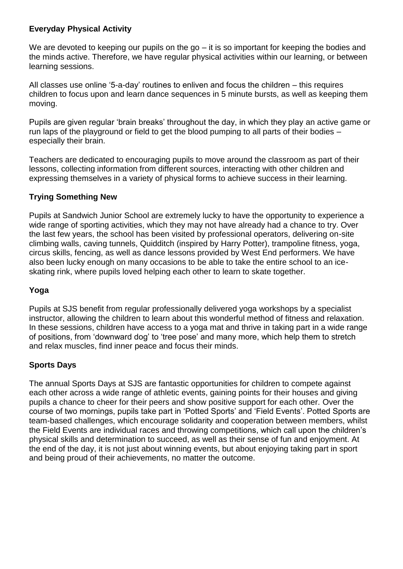### **Everyday Physical Activity**

We are devoted to keeping our pupils on the go – it is so important for keeping the bodies and the minds active. Therefore, we have regular physical activities within our learning, or between learning sessions.

All classes use online '5-a-day' routines to enliven and focus the children – this requires children to focus upon and learn dance sequences in 5 minute bursts, as well as keeping them moving.

Pupils are given regular 'brain breaks' throughout the day, in which they play an active game or run laps of the playground or field to get the blood pumping to all parts of their bodies – especially their brain.

Teachers are dedicated to encouraging pupils to move around the classroom as part of their lessons, collecting information from different sources, interacting with other children and expressing themselves in a variety of physical forms to achieve success in their learning.

### **Trying Something New**

Pupils at Sandwich Junior School are extremely lucky to have the opportunity to experience a wide range of sporting activities, which they may not have already had a chance to try. Over the last few years, the school has been visited by professional operators, delivering on-site climbing walls, caving tunnels, Quidditch (inspired by Harry Potter), trampoline fitness, yoga, circus skills, fencing, as well as dance lessons provided by West End performers. We have also been lucky enough on many occasions to be able to take the entire school to an iceskating rink, where pupils loved helping each other to learn to skate together.

### **Yoga**

Pupils at SJS benefit from regular professionally delivered yoga workshops by a specialist instructor, allowing the children to learn about this wonderful method of fitness and relaxation. In these sessions, children have access to a yoga mat and thrive in taking part in a wide range of positions, from 'downward dog' to 'tree pose' and many more, which help them to stretch and relax muscles, find inner peace and focus their minds.

### **Sports Days**

The annual Sports Days at SJS are fantastic opportunities for children to compete against each other across a wide range of athletic events, gaining points for their houses and giving pupils a chance to cheer for their peers and show positive support for each other. Over the course of two mornings, pupils take part in 'Potted Sports' and 'Field Events'. Potted Sports are team-based challenges, which encourage solidarity and cooperation between members, whilst the Field Events are individual races and throwing competitions, which call upon the children's physical skills and determination to succeed, as well as their sense of fun and enjoyment. At the end of the day, it is not just about winning events, but about enjoying taking part in sport and being proud of their achievements, no matter the outcome.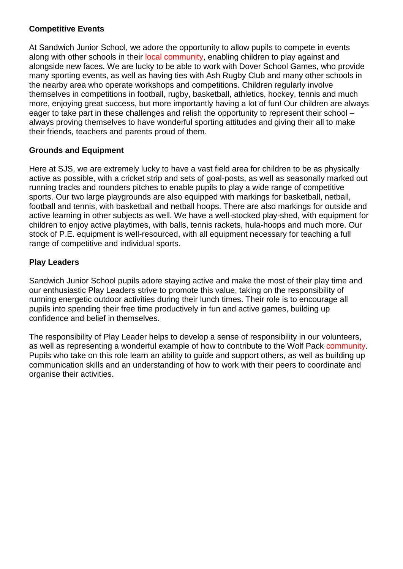#### **Competitive Events**

At Sandwich Junior School, we adore the opportunity to allow pupils to compete in events along with other schools in their local community, enabling children to play against and alongside new faces. We are lucky to be able to work with Dover School Games, who provide many sporting events, as well as having ties with Ash Rugby Club and many other schools in the nearby area who operate workshops and competitions. Children regularly involve themselves in competitions in football, rugby, basketball, athletics, hockey, tennis and much more, enjoying great success, but more importantly having a lot of fun! Our children are always eager to take part in these challenges and relish the opportunity to represent their school – always proving themselves to have wonderful sporting attitudes and giving their all to make their friends, teachers and parents proud of them.

### **Grounds and Equipment**

Here at SJS, we are extremely lucky to have a vast field area for children to be as physically active as possible, with a cricket strip and sets of goal-posts, as well as seasonally marked out running tracks and rounders pitches to enable pupils to play a wide range of competitive sports. Our two large playgrounds are also equipped with markings for basketball, netball, football and tennis, with basketball and netball hoops. There are also markings for outside and active learning in other subjects as well. We have a well-stocked play-shed, with equipment for children to enjoy active playtimes, with balls, tennis rackets, hula-hoops and much more. Our stock of P.E. equipment is well-resourced, with all equipment necessary for teaching a full range of competitive and individual sports.

### **Play Leaders**

Sandwich Junior School pupils adore staying active and make the most of their play time and our enthusiastic Play Leaders strive to promote this value, taking on the responsibility of running energetic outdoor activities during their lunch times. Their role is to encourage all pupils into spending their free time productively in fun and active games, building up confidence and belief in themselves.

The responsibility of Play Leader helps to develop a sense of responsibility in our volunteers, as well as representing a wonderful example of how to contribute to the Wolf Pack community. Pupils who take on this role learn an ability to guide and support others, as well as building up communication skills and an understanding of how to work with their peers to coordinate and organise their activities.